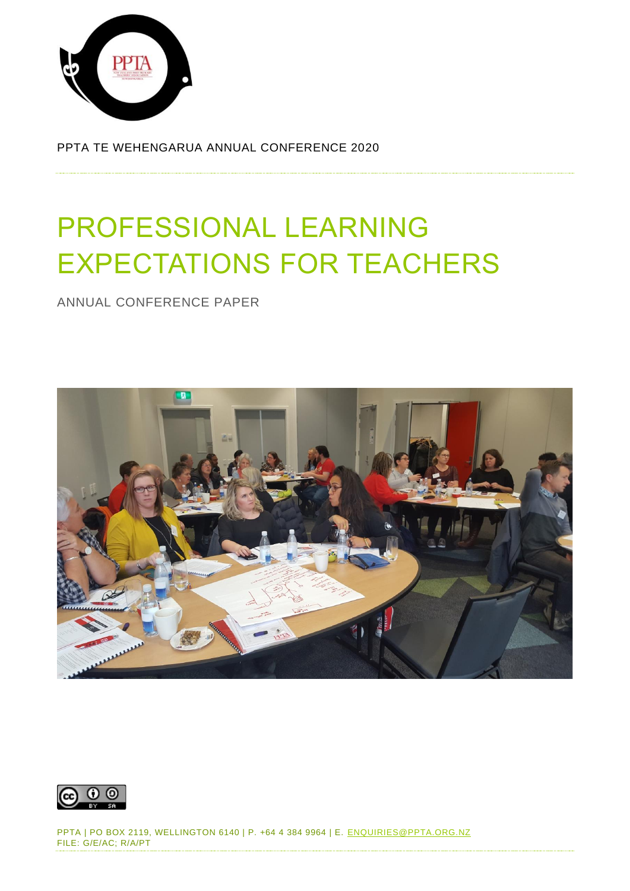

PPTA TE WEHENGARUA ANNUAL CONFERENCE 2020

# PROFESSIONAL LEARNING EXPECTATIONS FOR TEACHERS

ANNUAL CONFERENCE PAPER





PPTA | PO BOX 2119, WELLINGTON 6140 | P. +64 4 384 9964 | E. [ENQUIRIES@PPTA.ORG.NZ](mailto:enquiries@ppta.org.nz) FILE: G/E/AC; R/A/PT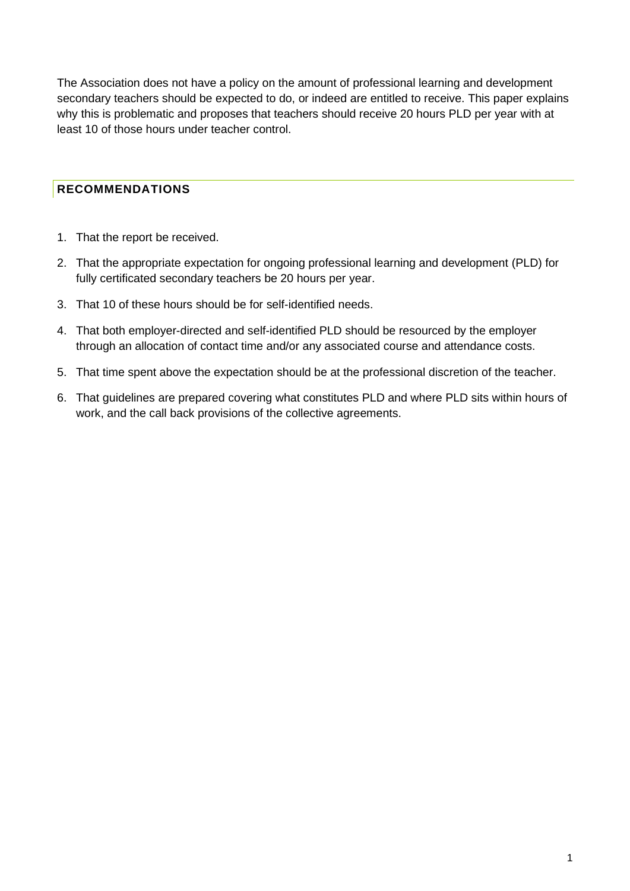The Association does not have a policy on the amount of professional learning and development secondary teachers should be expected to do, or indeed are entitled to receive. This paper explains why this is problematic and proposes that teachers should receive 20 hours PLD per year with at least 10 of those hours under teacher control.

## <span id="page-1-0"></span>**RECOMMENDATIONS**

- 1. That the report be received.
- 2. That the appropriate expectation for ongoing professional learning and development (PLD) for fully certificated secondary teachers be 20 hours per year.
- 3. That 10 of these hours should be for self-identified needs.
- 4. That both employer-directed and self-identified PLD should be resourced by the employer through an allocation of contact time and/or any associated course and attendance costs.
- 5. That time spent above the expectation should be at the professional discretion of the teacher.
- 6. That guidelines are prepared covering what constitutes PLD and where PLD sits within hours of work, and the call back provisions of the collective agreements.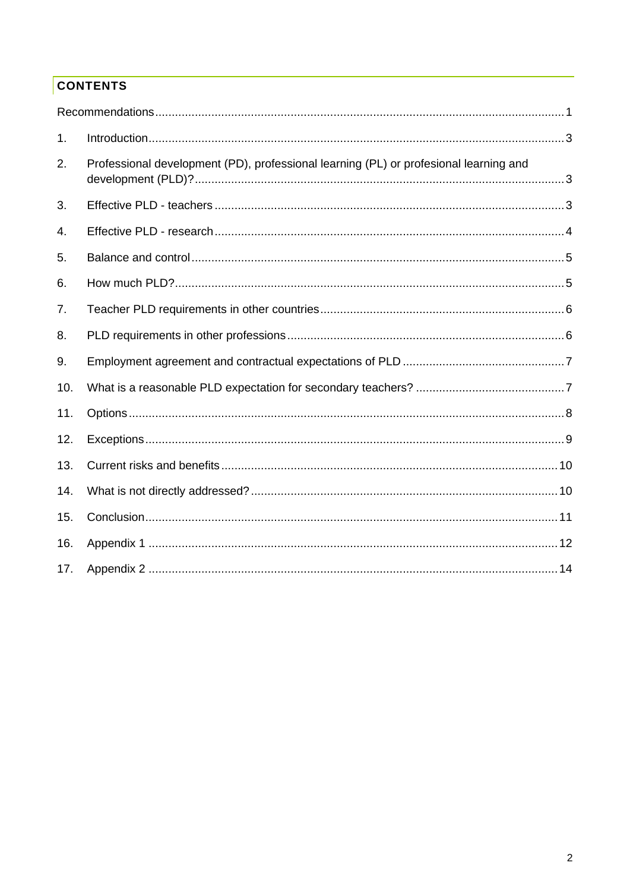# **CONTENTS**

| 1.  |                                                                                       |  |
|-----|---------------------------------------------------------------------------------------|--|
| 2.  | Professional development (PD), professional learning (PL) or profesional learning and |  |
| 3.  |                                                                                       |  |
| 4.  |                                                                                       |  |
| 5.  |                                                                                       |  |
| 6.  |                                                                                       |  |
| 7.  |                                                                                       |  |
| 8.  |                                                                                       |  |
| 9.  |                                                                                       |  |
| 10. |                                                                                       |  |
| 11. |                                                                                       |  |
| 12. |                                                                                       |  |
| 13. |                                                                                       |  |
| 14. |                                                                                       |  |
| 15. |                                                                                       |  |
| 16. |                                                                                       |  |
| 17. |                                                                                       |  |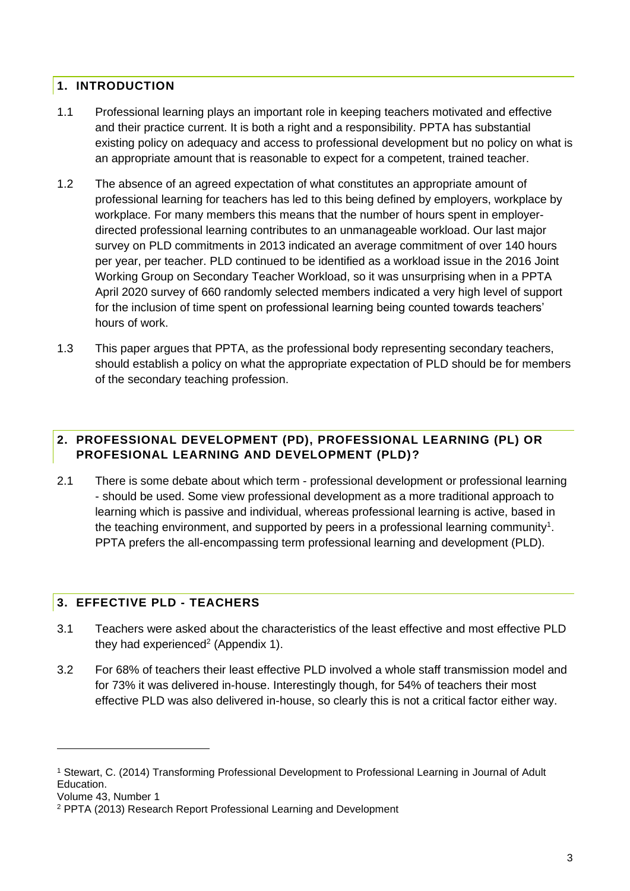#### <span id="page-3-0"></span>**1. INTRODUCTION**

- 1.1 Professional learning plays an important role in keeping teachers motivated and effective and their practice current. It is both a right and a responsibility. PPTA has substantial existing policy on adequacy and access to professional development but no policy on what is an appropriate amount that is reasonable to expect for a competent, trained teacher.
- 1.2 The absence of an agreed expectation of what constitutes an appropriate amount of professional learning for teachers has led to this being defined by employers, workplace by workplace. For many members this means that the number of hours spent in employerdirected professional learning contributes to an unmanageable workload. Our last major survey on PLD commitments in 2013 indicated an average commitment of over 140 hours per year, per teacher. PLD continued to be identified as a workload issue in the 2016 Joint Working Group on Secondary Teacher Workload, so it was unsurprising when in a PPTA April 2020 survey of 660 randomly selected members indicated a very high level of support for the inclusion of time spent on professional learning being counted towards teachers' hours of work.
- 1.3 This paper argues that PPTA, as the professional body representing secondary teachers, should establish a policy on what the appropriate expectation of PLD should be for members of the secondary teaching profession.

#### <span id="page-3-1"></span>**2. PROFESSIONAL DEVELOPMENT (PD), PROFESSIONAL LEARNING (PL) OR PROFESIONAL LEARNING AND DEVELOPMENT (PLD)?**

2.1 There is some debate about which term - professional development or professional learning - should be used. Some view professional development as a more traditional approach to learning which is passive and individual, whereas professional learning is active, based in the teaching environment, and supported by peers in a professional learning community<sup>1</sup>. PPTA prefers the all-encompassing term professional learning and development (PLD).

#### <span id="page-3-2"></span>**3. EFFECTIVE PLD - TEACHERS**

- 3.1 Teachers were asked about the characteristics of the least effective and most effective PLD they had experienced<sup>2</sup> (Appendix 1).
- 3.2 For 68% of teachers their least effective PLD involved a whole staff transmission model and for 73% it was delivered in-house. Interestingly though, for 54% of teachers their most effective PLD was also delivered in-house, so clearly this is not a critical factor either way.

<sup>1</sup> Stewart, C. (2014) Transforming Professional Development to Professional Learning in Journal of Adult Education.

Volume 43, Number 1

<sup>2</sup> PPTA (2013) Research Report Professional Learning and Development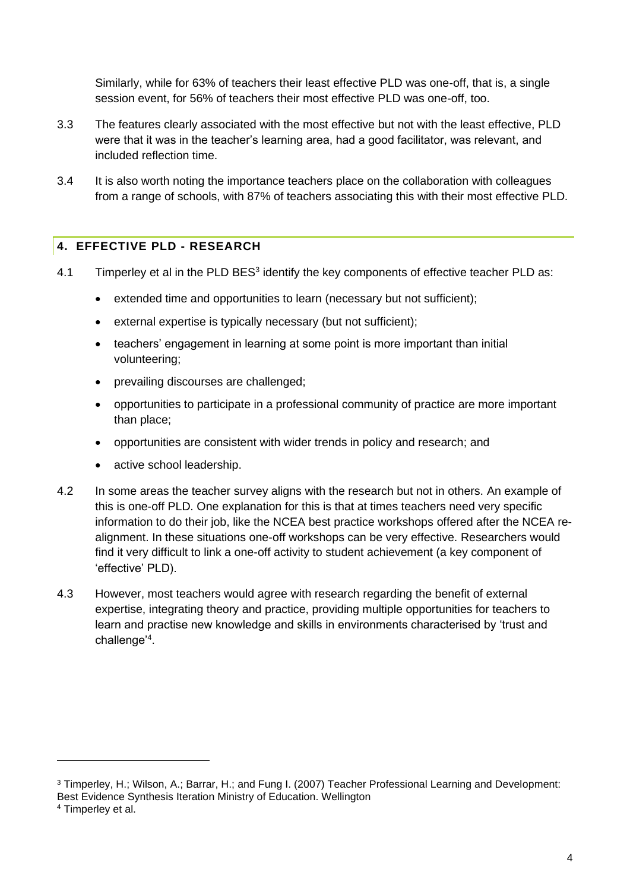Similarly, while for 63% of teachers their least effective PLD was one-off, that is, a single session event, for 56% of teachers their most effective PLD was one-off, too.

- 3.3 The features clearly associated with the most effective but not with the least effective, PLD were that it was in the teacher's learning area, had a good facilitator, was relevant, and included reflection time.
- 3.4 It is also worth noting the importance teachers place on the collaboration with colleagues from a range of schools, with 87% of teachers associating this with their most effective PLD.

#### <span id="page-4-0"></span>**4. EFFECTIVE PLD - RESEARCH**

- 4.1 Timperley et al in the PLD BES<sup>3</sup> identify the key components of effective teacher PLD as:
	- extended time and opportunities to learn (necessary but not sufficient);
	- external expertise is typically necessary (but not sufficient);
	- teachers' engagement in learning at some point is more important than initial volunteering;
	- prevailing discourses are challenged;
	- opportunities to participate in a professional community of practice are more important than place;
	- opportunities are consistent with wider trends in policy and research; and
	- active school leadership.
- 4.2 In some areas the teacher survey aligns with the research but not in others. An example of this is one-off PLD. One explanation for this is that at times teachers need very specific information to do their job, like the NCEA best practice workshops offered after the NCEA realignment. In these situations one-off workshops can be very effective. Researchers would find it very difficult to link a one-off activity to student achievement (a key component of 'effective' PLD).
- 4.3 However, most teachers would agree with research regarding the benefit of external expertise, integrating theory and practice, providing multiple opportunities for teachers to learn and practise new knowledge and skills in environments characterised by 'trust and challenge'<sup>4</sup> .

<sup>3</sup> Timperley, H.; Wilson, A.; Barrar, H.; and Fung I. (2007) Teacher Professional Learning and Development: Best Evidence Synthesis Iteration Ministry of Education. Wellington

<sup>4</sup> Timperley et al.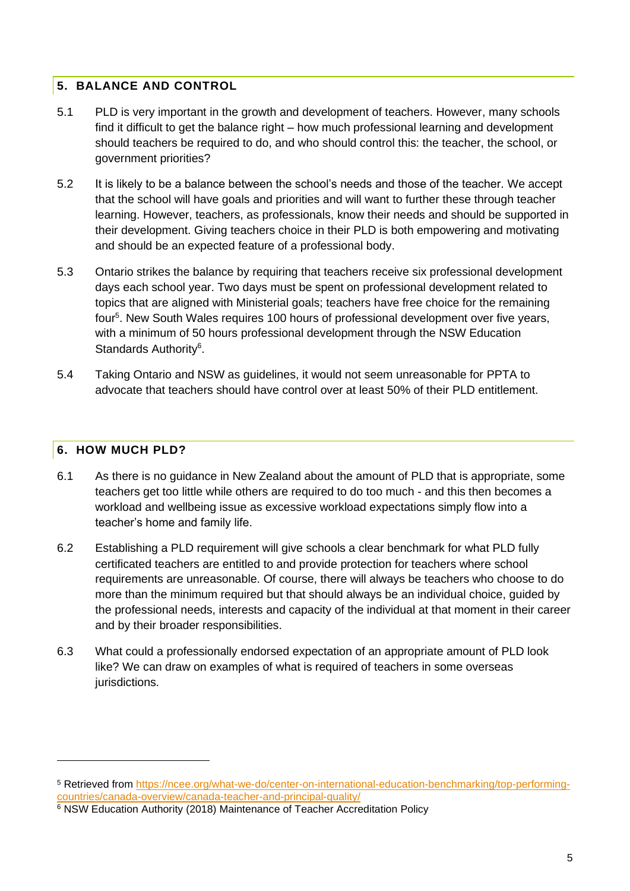#### <span id="page-5-0"></span>**5. BALANCE AND CONTROL**

- 5.1 PLD is very important in the growth and development of teachers. However, many schools find it difficult to get the balance right – how much professional learning and development should teachers be required to do, and who should control this: the teacher, the school, or government priorities?
- 5.2 It is likely to be a balance between the school's needs and those of the teacher. We accept that the school will have goals and priorities and will want to further these through teacher learning. However, teachers, as professionals, know their needs and should be supported in their development. Giving teachers choice in their PLD is both empowering and motivating and should be an expected feature of a professional body.
- 5.3 Ontario strikes the balance by requiring that teachers receive six professional development days each school year. Two days must be spent on professional development related to topics that are aligned with Ministerial goals; teachers have free choice for the remaining four<sup>5</sup>. New South Wales requires 100 hours of professional development over five years, with a minimum of 50 hours professional development through the NSW Education Standards Authority<sup>6</sup>.
- 5.4 Taking Ontario and NSW as guidelines, it would not seem unreasonable for PPTA to advocate that teachers should have control over at least 50% of their PLD entitlement.

#### <span id="page-5-1"></span>**6. HOW MUCH PLD?**

- 6.1 As there is no guidance in New Zealand about the amount of PLD that is appropriate, some teachers get too little while others are required to do too much - and this then becomes a workload and wellbeing issue as excessive workload expectations simply flow into a teacher's home and family life.
- 6.2 Establishing a PLD requirement will give schools a clear benchmark for what PLD fully certificated teachers are entitled to and provide protection for teachers where school requirements are unreasonable. Of course, there will always be teachers who choose to do more than the minimum required but that should always be an individual choice, guided by the professional needs, interests and capacity of the individual at that moment in their career and by their broader responsibilities.
- 6.3 What could a professionally endorsed expectation of an appropriate amount of PLD look like? We can draw on examples of what is required of teachers in some overseas jurisdictions.

<sup>5</sup> Retrieved from [https://ncee.org/what-we-do/center-on-international-education-benchmarking/top-performing](https://ncee.org/what-we-do/center-on-international-education-benchmarking/top-performing-countries/canada-overview/canada-teacher-and-principal-quality/)[countries/canada-overview/canada-teacher-and-principal-quality/](https://ncee.org/what-we-do/center-on-international-education-benchmarking/top-performing-countries/canada-overview/canada-teacher-and-principal-quality/)

<sup>6</sup> NSW Education Authority (2018) Maintenance of Teacher Accreditation Policy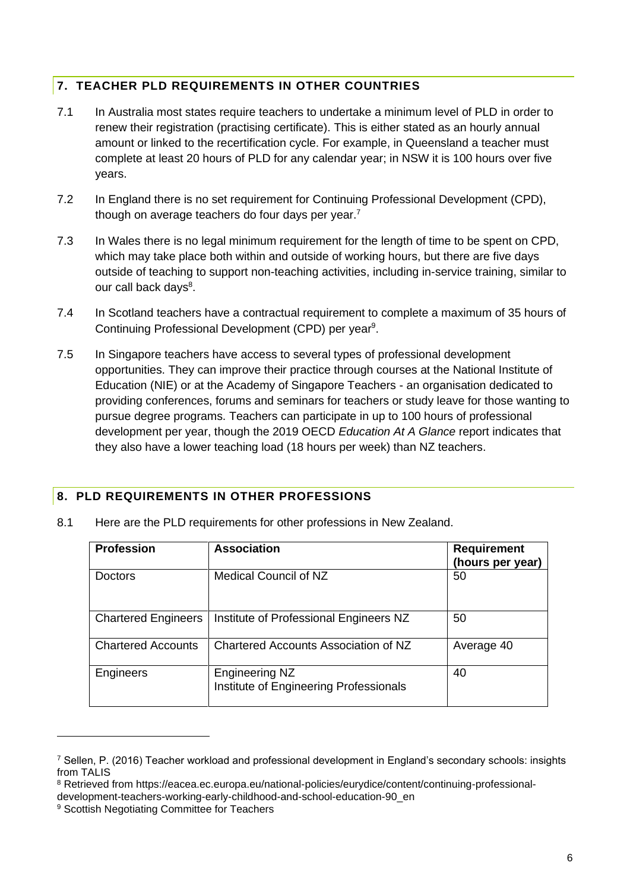#### <span id="page-6-0"></span>**7. TEACHER PLD REQUIREMENTS IN OTHER COUNTRIES**

- 7.1 In Australia most states require teachers to undertake a minimum level of PLD in order to renew their registration (practising certificate). This is either stated as an hourly annual amount or linked to the recertification cycle. For example, in Queensland a teacher must complete at least 20 hours of PLD for any calendar year; in NSW it is 100 hours over five years.
- 7.2 In England there is no set requirement for Continuing Professional Development (CPD), though on average teachers do four days per year.<sup>7</sup>
- 7.3 In Wales there is no legal minimum requirement for the length of time to be spent on CPD, which may take place both within and outside of working hours, but there are five days outside of teaching to support non-teaching activities, including in-service training, similar to our call back days<sup>8</sup>.
- 7.4 In Scotland teachers have a contractual requirement to complete a maximum of 35 hours of Continuing Professional Development (CPD) per year<sup>9</sup>.
- 7.5 In Singapore teachers have access to several types of professional development opportunities. They can improve their practice through courses at the National Institute of Education (NIE) or at the Academy of Singapore Teachers - an organisation dedicated to providing conferences, forums and seminars for teachers or study leave for those wanting to pursue degree programs. Teachers can participate in up to 100 hours of professional development per year, though the 2019 OECD *Education At A Glance* report indicates that they also have a lower teaching load (18 hours per week) than NZ teachers.

#### <span id="page-6-1"></span>**8. PLD REQUIREMENTS IN OTHER PROFESSIONS**

| <b>Profession</b>          | <b>Association</b>                                              | <b>Requirement</b><br>(hours per year) |
|----------------------------|-----------------------------------------------------------------|----------------------------------------|
| Doctors                    | Medical Council of NZ                                           | 50                                     |
| <b>Chartered Engineers</b> | Institute of Professional Engineers NZ                          | 50                                     |
| <b>Chartered Accounts</b>  | Chartered Accounts Association of NZ                            | Average 40                             |
| Engineers                  | <b>Engineering NZ</b><br>Institute of Engineering Professionals | 40                                     |

8.1 Here are the PLD requirements for other professions in New Zealand.

<sup>7</sup> Sellen, P. (2016) Teacher workload and professional development in England's secondary schools: insights from TALIS

<sup>8</sup> Retrieved from https://eacea.ec.europa.eu/national-policies/eurydice/content/continuing-professional-

development-teachers-working-early-childhood-and-school-education-90\_en

<sup>&</sup>lt;sup>9</sup> Scottish Negotiating Committee for Teachers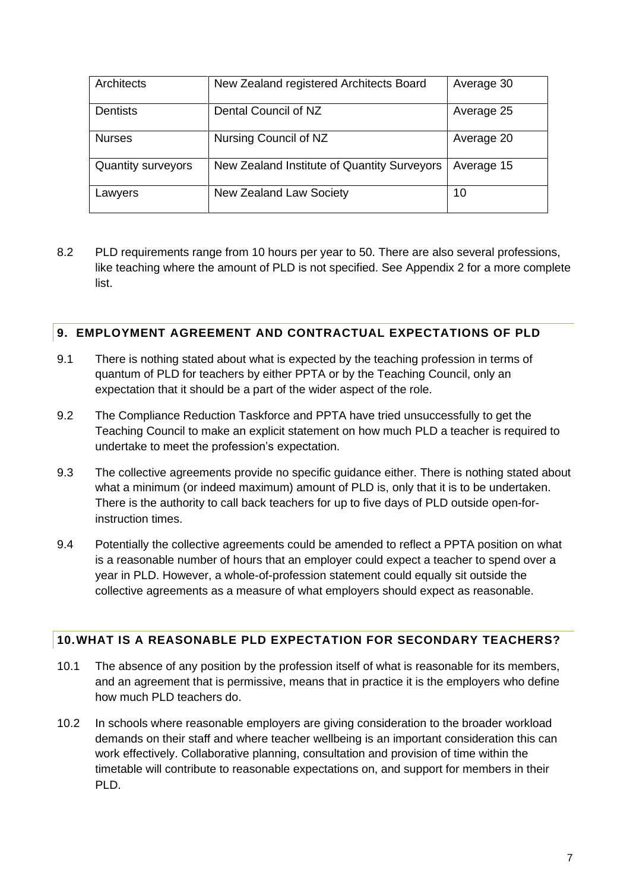| Architects                | New Zealand registered Architects Board     | Average 30 |
|---------------------------|---------------------------------------------|------------|
| <b>Dentists</b>           | Dental Council of NZ                        | Average 25 |
| <b>Nurses</b>             | Nursing Council of NZ                       | Average 20 |
| <b>Quantity surveyors</b> | New Zealand Institute of Quantity Surveyors | Average 15 |
| Lawyers                   | <b>New Zealand Law Society</b>              | 10         |

8.2 PLD requirements range from 10 hours per year to 50. There are also several professions, like teaching where the amount of PLD is not specified. See Appendix 2 for a more complete list.

#### <span id="page-7-0"></span>**9. EMPLOYMENT AGREEMENT AND CONTRACTUAL EXPECTATIONS OF PLD**

- 9.1 There is nothing stated about what is expected by the teaching profession in terms of quantum of PLD for teachers by either PPTA or by the Teaching Council, only an expectation that it should be a part of the wider aspect of the role.
- 9.2 The Compliance Reduction Taskforce and PPTA have tried unsuccessfully to get the Teaching Council to make an explicit statement on how much PLD a teacher is required to undertake to meet the profession's expectation.
- 9.3 The collective agreements provide no specific guidance either. There is nothing stated about what a minimum (or indeed maximum) amount of PLD is, only that it is to be undertaken. There is the authority to call back teachers for up to five days of PLD outside open-forinstruction times.
- 9.4 Potentially the collective agreements could be amended to reflect a PPTA position on what is a reasonable number of hours that an employer could expect a teacher to spend over a year in PLD. However, a whole-of-profession statement could equally sit outside the collective agreements as a measure of what employers should expect as reasonable.

#### <span id="page-7-1"></span>**10.WHAT IS A REASONABLE PLD EXPECTATION FOR SECONDARY TEACHERS?**

- 10.1 The absence of any position by the profession itself of what is reasonable for its members, and an agreement that is permissive, means that in practice it is the employers who define how much PLD teachers do.
- 10.2 In schools where reasonable employers are giving consideration to the broader workload demands on their staff and where teacher wellbeing is an important consideration this can work effectively. Collaborative planning, consultation and provision of time within the timetable will contribute to reasonable expectations on, and support for members in their PLD.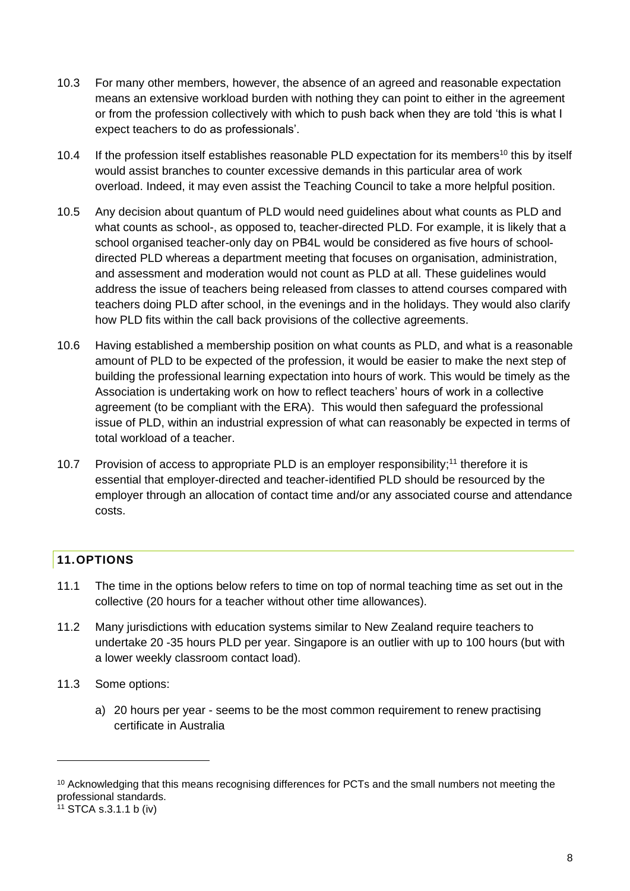- 10.3 For many other members, however, the absence of an agreed and reasonable expectation means an extensive workload burden with nothing they can point to either in the agreement or from the profession collectively with which to push back when they are told 'this is what I expect teachers to do as professionals'.
- 10.4 If the profession itself establishes reasonable PLD expectation for its members<sup>10</sup> this by itself would assist branches to counter excessive demands in this particular area of work overload. Indeed, it may even assist the Teaching Council to take a more helpful position.
- 10.5 Any decision about quantum of PLD would need guidelines about what counts as PLD and what counts as school-, as opposed to, teacher-directed PLD. For example, it is likely that a school organised teacher-only day on PB4L would be considered as five hours of schooldirected PLD whereas a department meeting that focuses on organisation, administration, and assessment and moderation would not count as PLD at all. These guidelines would address the issue of teachers being released from classes to attend courses compared with teachers doing PLD after school, in the evenings and in the holidays. They would also clarify how PLD fits within the call back provisions of the collective agreements.
- 10.6 Having established a membership position on what counts as PLD, and what is a reasonable amount of PLD to be expected of the profession, it would be easier to make the next step of building the professional learning expectation into hours of work. This would be timely as the Association is undertaking work on how to reflect teachers' hours of work in a collective agreement (to be compliant with the ERA). This would then safeguard the professional issue of PLD, within an industrial expression of what can reasonably be expected in terms of total workload of a teacher.
- 10.7 Provision of access to appropriate PLD is an employer responsibility;<sup>11</sup> therefore it is essential that employer-directed and teacher-identified PLD should be resourced by the employer through an allocation of contact time and/or any associated course and attendance costs.

# <span id="page-8-0"></span>**11.OPTIONS**

- 11.1 The time in the options below refers to time on top of normal teaching time as set out in the collective (20 hours for a teacher without other time allowances).
- 11.2 Many jurisdictions with education systems similar to New Zealand require teachers to undertake 20 -35 hours PLD per year. Singapore is an outlier with up to 100 hours (but with a lower weekly classroom contact load).
- 11.3 Some options:
	- a) 20 hours per year seems to be the most common requirement to renew practising certificate in Australia

<sup>&</sup>lt;sup>10</sup> Acknowledging that this means recognising differences for PCTs and the small numbers not meeting the professional standards.

 $11$  STCA s.3.1.1 b (iv)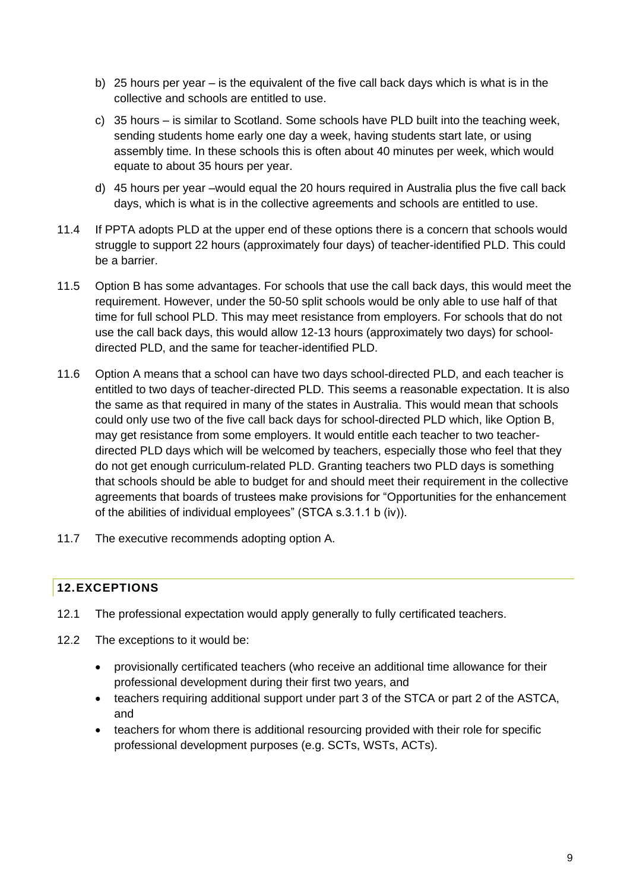- b) 25 hours per year is the equivalent of the five call back days which is what is in the collective and schools are entitled to use.
- c) 35 hours is similar to Scotland. Some schools have PLD built into the teaching week, sending students home early one day a week, having students start late, or using assembly time. In these schools this is often about 40 minutes per week, which would equate to about 35 hours per year.
- d) 45 hours per year –would equal the 20 hours required in Australia plus the five call back days, which is what is in the collective agreements and schools are entitled to use.
- 11.4 If PPTA adopts PLD at the upper end of these options there is a concern that schools would struggle to support 22 hours (approximately four days) of teacher-identified PLD. This could be a barrier.
- 11.5 Option B has some advantages. For schools that use the call back days, this would meet the requirement. However, under the 50-50 split schools would be only able to use half of that time for full school PLD. This may meet resistance from employers. For schools that do not use the call back days, this would allow 12-13 hours (approximately two days) for schooldirected PLD, and the same for teacher-identified PLD.
- 11.6 Option A means that a school can have two days school-directed PLD, and each teacher is entitled to two days of teacher-directed PLD. This seems a reasonable expectation. It is also the same as that required in many of the states in Australia. This would mean that schools could only use two of the five call back days for school-directed PLD which, like Option B, may get resistance from some employers. It would entitle each teacher to two teacherdirected PLD days which will be welcomed by teachers, especially those who feel that they do not get enough curriculum-related PLD. Granting teachers two PLD days is something that schools should be able to budget for and should meet their requirement in the collective agreements that boards of trustees make provisions for "Opportunities for the enhancement of the abilities of individual employees" (STCA s.3.1.1 b (iv)).
- 11.7 The executive recommends adopting option A.

## <span id="page-9-0"></span>**12.EXCEPTIONS**

- 12.1 The professional expectation would apply generally to fully certificated teachers.
- 12.2 The exceptions to it would be:
	- provisionally certificated teachers (who receive an additional time allowance for their professional development during their first two years, and
	- teachers requiring additional support under part 3 of the STCA or part 2 of the ASTCA, and
	- teachers for whom there is additional resourcing provided with their role for specific professional development purposes (e.g. SCTs, WSTs, ACTs).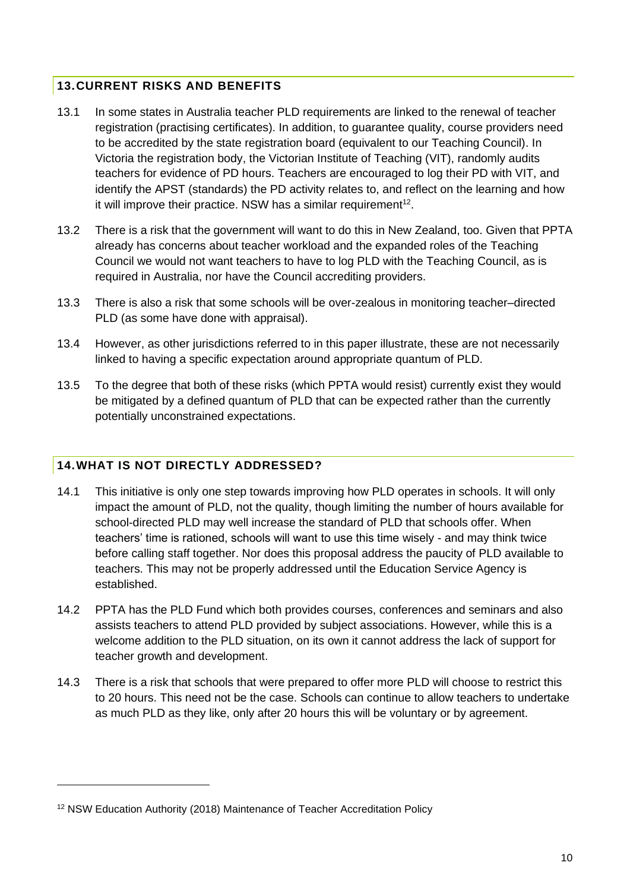#### <span id="page-10-0"></span>**13.CURRENT RISKS AND BENEFITS**

- 13.1 In some states in Australia teacher PLD requirements are linked to the renewal of teacher registration (practising certificates). In addition, to guarantee quality, course providers need to be accredited by the state registration board (equivalent to our Teaching Council). In Victoria the registration body, the Victorian Institute of Teaching (VIT), randomly audits teachers for evidence of PD hours. Teachers are encouraged to log their PD with VIT, and identify the APST (standards) the PD activity relates to, and reflect on the learning and how it will improve their practice. NSW has a similar requirement<sup>12</sup>.
- 13.2 There is a risk that the government will want to do this in New Zealand, too. Given that PPTA already has concerns about teacher workload and the expanded roles of the Teaching Council we would not want teachers to have to log PLD with the Teaching Council, as is required in Australia, nor have the Council accrediting providers.
- 13.3 There is also a risk that some schools will be over-zealous in monitoring teacher–directed PLD (as some have done with appraisal).
- 13.4 However, as other jurisdictions referred to in this paper illustrate, these are not necessarily linked to having a specific expectation around appropriate quantum of PLD.
- 13.5 To the degree that both of these risks (which PPTA would resist) currently exist they would be mitigated by a defined quantum of PLD that can be expected rather than the currently potentially unconstrained expectations.

## <span id="page-10-1"></span>**14.WHAT IS NOT DIRECTLY ADDRESSED?**

- 14.1 This initiative is only one step towards improving how PLD operates in schools. It will only impact the amount of PLD, not the quality, though limiting the number of hours available for school-directed PLD may well increase the standard of PLD that schools offer. When teachers' time is rationed, schools will want to use this time wisely - and may think twice before calling staff together. Nor does this proposal address the paucity of PLD available to teachers. This may not be properly addressed until the Education Service Agency is established.
- 14.2 PPTA has the PLD Fund which both provides courses, conferences and seminars and also assists teachers to attend PLD provided by subject associations. However, while this is a welcome addition to the PLD situation, on its own it cannot address the lack of support for teacher growth and development.
- 14.3 There is a risk that schools that were prepared to offer more PLD will choose to restrict this to 20 hours. This need not be the case. Schools can continue to allow teachers to undertake as much PLD as they like, only after 20 hours this will be voluntary or by agreement.

<sup>12</sup> NSW Education Authority (2018) Maintenance of Teacher Accreditation Policy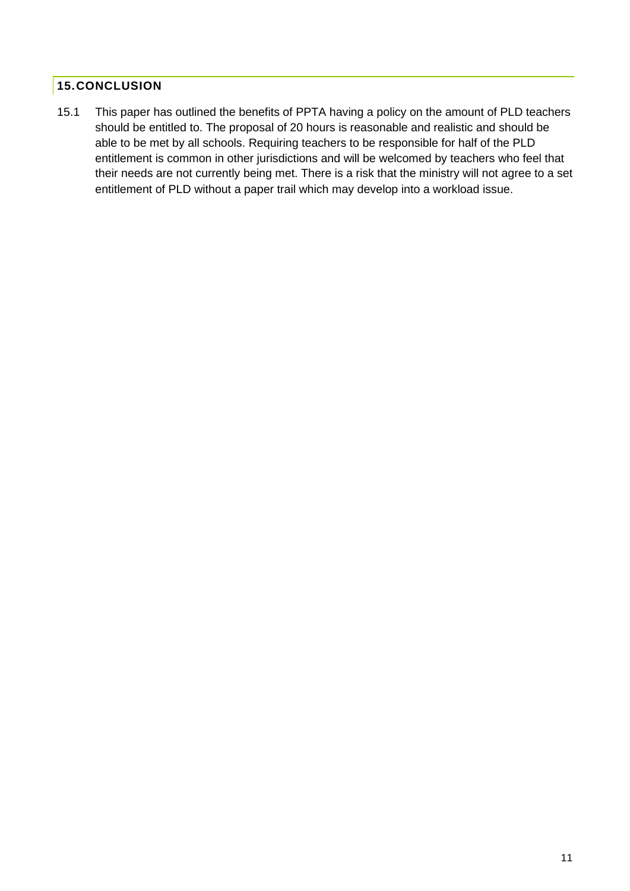### <span id="page-11-0"></span>**15.CONCLUSION**

15.1 This paper has outlined the benefits of PPTA having a policy on the amount of PLD teachers should be entitled to. The proposal of 20 hours is reasonable and realistic and should be able to be met by all schools. Requiring teachers to be responsible for half of the PLD entitlement is common in other jurisdictions and will be welcomed by teachers who feel that their needs are not currently being met. There is a risk that the ministry will not agree to a set entitlement of PLD without a paper trail which may develop into a workload issue.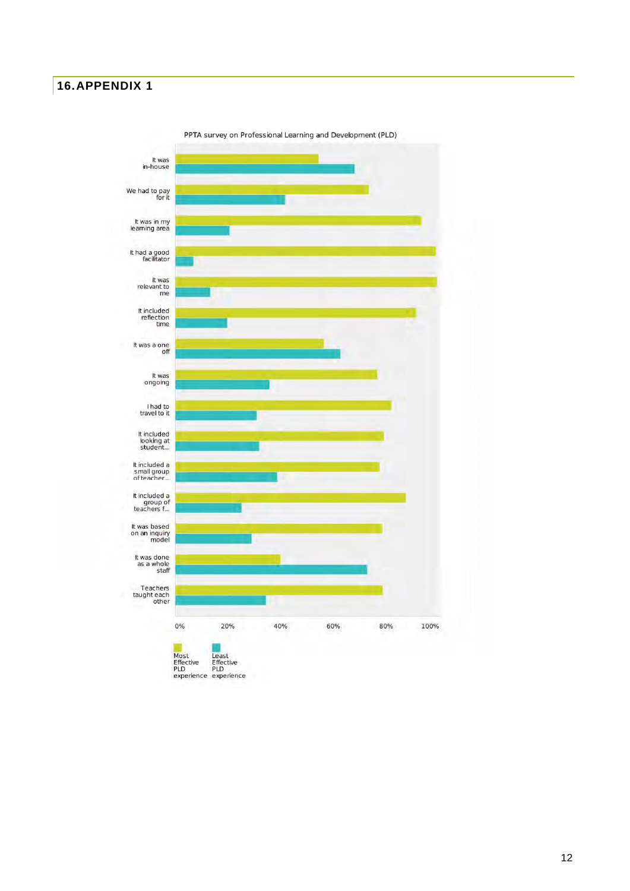#### <span id="page-12-0"></span>**16.APPENDIX 1**



PPTA survey on Professional Learning and Development (PLD)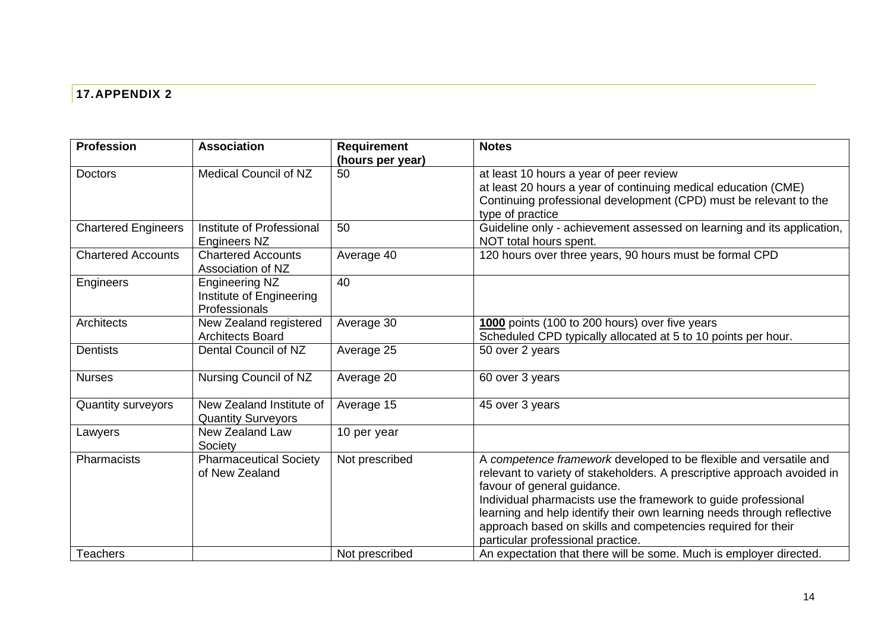# **17.APPENDIX 2**

<span id="page-13-0"></span>

| <b>Profession</b>          | <b>Association</b>                                                 | <b>Requirement</b><br>(hours per year) | <b>Notes</b>                                                                                                                                                                                                                                                                                                                                                                                                                 |
|----------------------------|--------------------------------------------------------------------|----------------------------------------|------------------------------------------------------------------------------------------------------------------------------------------------------------------------------------------------------------------------------------------------------------------------------------------------------------------------------------------------------------------------------------------------------------------------------|
| <b>Doctors</b>             | <b>Medical Council of NZ</b>                                       | 50                                     | at least 10 hours a year of peer review<br>at least 20 hours a year of continuing medical education (CME)<br>Continuing professional development (CPD) must be relevant to the<br>type of practice                                                                                                                                                                                                                           |
| <b>Chartered Engineers</b> | Institute of Professional<br><b>Engineers NZ</b>                   | 50                                     | Guideline only - achievement assessed on learning and its application,<br>NOT total hours spent.                                                                                                                                                                                                                                                                                                                             |
| <b>Chartered Accounts</b>  | <b>Chartered Accounts</b><br>Association of NZ                     | Average 40                             | 120 hours over three years, 90 hours must be formal CPD                                                                                                                                                                                                                                                                                                                                                                      |
| Engineers                  | <b>Engineering NZ</b><br>Institute of Engineering<br>Professionals | 40                                     |                                                                                                                                                                                                                                                                                                                                                                                                                              |
| Architects                 | New Zealand registered<br><b>Architects Board</b>                  | Average 30                             | 1000 points (100 to 200 hours) over five years<br>Scheduled CPD typically allocated at 5 to 10 points per hour.                                                                                                                                                                                                                                                                                                              |
| <b>Dentists</b>            | Dental Council of NZ                                               | Average 25                             | 50 over 2 years                                                                                                                                                                                                                                                                                                                                                                                                              |
| <b>Nurses</b>              | Nursing Council of NZ                                              | Average 20                             | 60 over 3 years                                                                                                                                                                                                                                                                                                                                                                                                              |
| Quantity surveyors         | New Zealand Institute of<br><b>Quantity Surveyors</b>              | Average 15                             | 45 over 3 years                                                                                                                                                                                                                                                                                                                                                                                                              |
| Lawyers                    | New Zealand Law<br>Society                                         | 10 per year                            |                                                                                                                                                                                                                                                                                                                                                                                                                              |
| Pharmacists                | <b>Pharmaceutical Society</b><br>of New Zealand                    | Not prescribed                         | A competence framework developed to be flexible and versatile and<br>relevant to variety of stakeholders. A prescriptive approach avoided in<br>favour of general guidance.<br>Individual pharmacists use the framework to guide professional<br>learning and help identify their own learning needs through reflective<br>approach based on skills and competencies required for their<br>particular professional practice. |
| <b>Teachers</b>            |                                                                    | Not prescribed                         | An expectation that there will be some. Much is employer directed.                                                                                                                                                                                                                                                                                                                                                           |